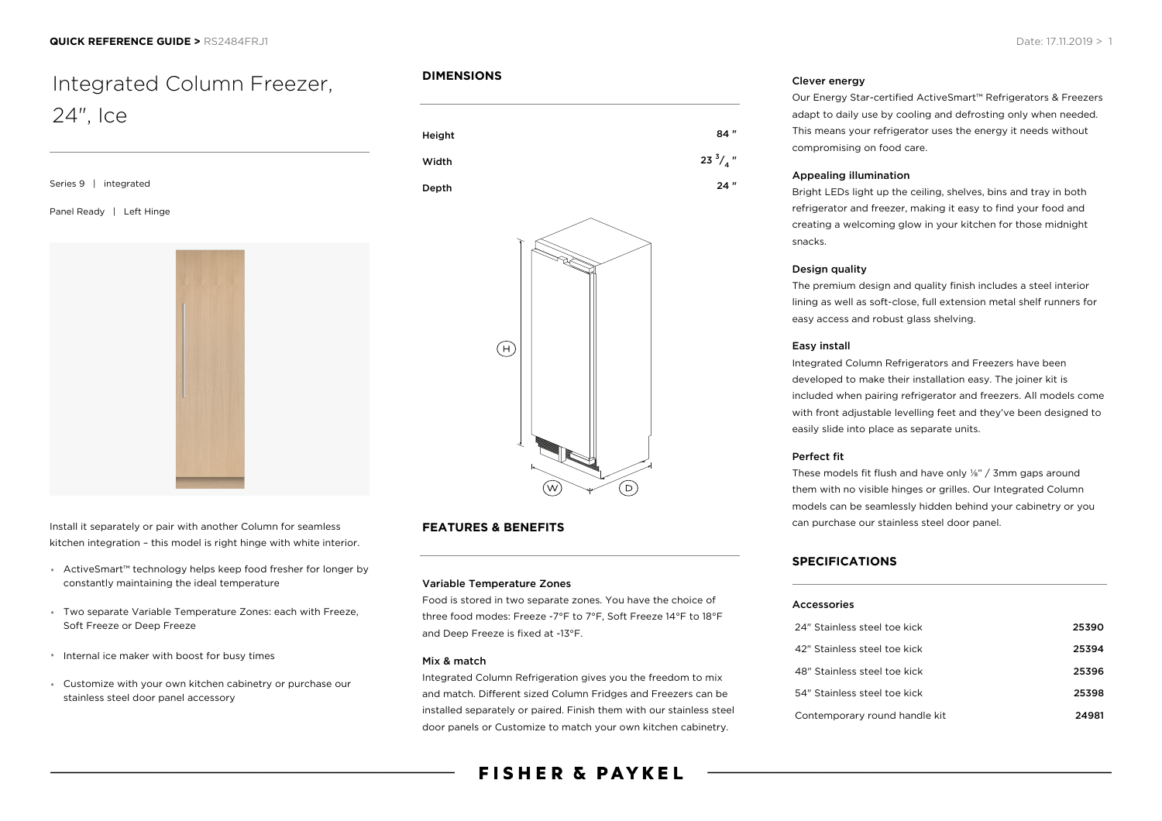# Integrated Column Freezer, 24", Ice

Series 9 | integrated Panel Ready | Left Hinge

Install it separately or pair with another Column for seamless kitchen integration – this model is right hinge with white interior.

- ActiveSmart™ technology helps keep food fresher for longer by constantly maintaining the ideal temperature
- Two separate Variable Temperature Zones: each with Freeze, Soft Freeze or Deep Freeze
- Internal ice maker with boost for busy times
- Customize with your own kitchen cabinetry or purchase our stainless steel door panel accessory

#### **DIMENSIONS**





### **FEATURES & BENEFITS**

#### Variable Temperature Zones

Food is stored in two separate zones. You have the choice of three food modes: Freeze -7°F to 7°F, Soft Freeze 14°F to 18°F and Deep Freeze is fixed at -13°F.

#### Mix & match

Integrated Column Refrigeration gives you the freedom to mix and match. Different sized Column Fridges and Freezers can be installed separately or paired. Finish them with our stainless steel door panels or Customize to match your own kitchen cabinetry.

# **FISHER & PAYKEL**

#### Clever energy

Our Energy Star-certified ActiveSmart™ Refrigerators & Freezers adapt to daily use by cooling and defrosting only when needed. This means your refrigerator uses the energy it needs without compromising on food care.

#### Appealing illumination

Bright LEDs light up the ceiling, shelves, bins and tray in both refrigerator and freezer, making it easy to find your food and creating a welcoming glow in your kitchen for those midnight snacks.

#### Design quality

The premium design and quality finish includes a steel interior lining as well as soft-close, full extension metal shelf runners for easy access and robust glass shelving.

#### Easy install

Integrated Column Refrigerators and Freezers have been developed to make their installation easy. The joiner kit is included when pairing refrigerator and freezers. All models come with front adjustable levelling feet and they've been designed to easily slide into place as separate units.

#### Perfect fit

These models fit flush and have only ⅛" / 3mm gaps around them with no visible hinges or grilles. Our Integrated Column models can be seamlessly hidden behind your cabinetry or you can purchase our stainless steel door panel.

#### **SPECIFICATIONS**

#### Accessories

| 24" Stainless steel toe kick  | 25390 |
|-------------------------------|-------|
| 42" Stainless steel toe kick  | 25394 |
| 48" Stainless steel toe kick  | 25396 |
| 54" Stainless steel toe kick  | 25398 |
| Contemporary round handle kit | 24981 |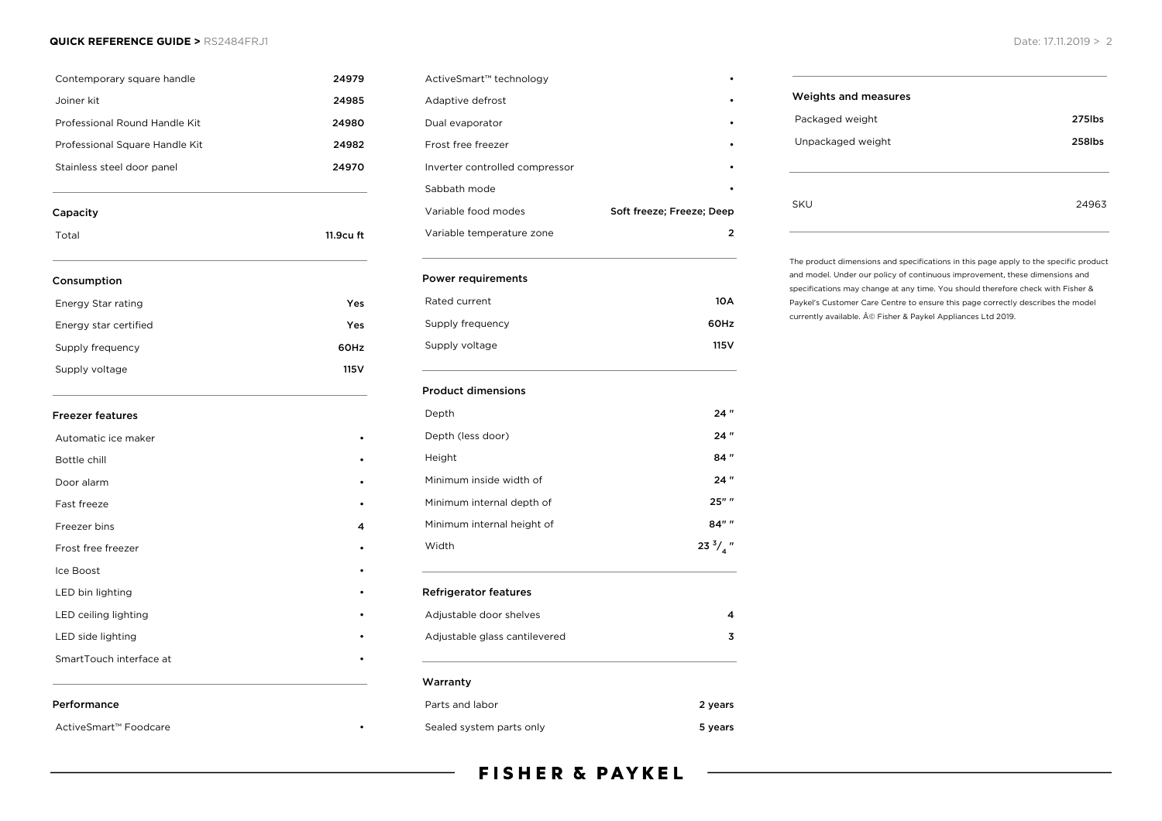#### **QUICK REFERENCE GUIDE >** RS2484FRJ1 Date: 17.11.2019 > 2

| Contemporary square handle     | 24979            |
|--------------------------------|------------------|
| Joiner kit                     | 24985            |
| Professional Round Handle Kit  | 24980            |
| Professional Square Handle Kit | 24982            |
| Stainless steel door panel     | 24970            |
| Capacity                       |                  |
| Total                          | 11.9cu ft        |
| Consumption                    |                  |
| Energy Star rating             | Yes              |
| Energy star certified          | Yes              |
| Supply frequency               | 60Hz             |
| Supply voltage                 | 115 <sub>V</sub> |
| <b>Freezer features</b>        |                  |
| Automatic ice maker            |                  |
| Bottle chill                   |                  |
| Door alarm                     |                  |
| Fast freeze                    |                  |
| Freezer bins                   | 4                |
| Frost free freezer             |                  |
| Ice Boost                      |                  |
| LED bin lighting               |                  |
| LED ceiling lighting           |                  |
| LED side lighting              |                  |
| SmartTouch interface at        |                  |
| Performance                    |                  |
| ActiveSmart™ Foodcare          |                  |

| ActiveSmart™ technology        |                           |
|--------------------------------|---------------------------|
| Adaptive defrost               |                           |
| Dual evaporator                |                           |
| Frost free freezer             |                           |
| Inverter controlled compressor |                           |
| Sabbath mode                   |                           |
| Variable food modes            | Soft freeze; Freeze; Deep |
| Variable temperature zone      | 7                         |

#### Power requirements

| Rated current    | 10 A  |
|------------------|-------|
| Supply frequency | 60Hz  |
| Supply voltage   | 115 V |

#### Product dimensions

| Depth                                                   | 24"                |
|---------------------------------------------------------|--------------------|
| Depth (less door)                                       | 24"                |
| Height                                                  | 84"                |
| Minimum inside width of                                 | 24"                |
| Minimum internal depth of                               | 25"                |
| Minimum internal height of                              | 84" "              |
| Width                                                   | 23 $\frac{3}{4}$ " |
| <b>Refrigerator features</b><br>Adjustable door shelves |                    |
| Adjustable glass cantilevered                           | 4<br>3             |
| Warranty                                                |                    |
| Parts and labor                                         | 2 years            |

# Weights and measures Packaged weight **275lbs** Unpackaged weight 258lbs SKU 24963

The product dimensions and specifications in this page apply to the specific product and model. Under our policy of continuous improvement, these dimensions and specifications may change at any time. You should therefore check with Fisher & Paykel's Customer Care Centre to ensure this page correctly describes the model currently available. © Fisher & Paykel Appliances Ltd 2019.

## **FISHER & PAYKEL**